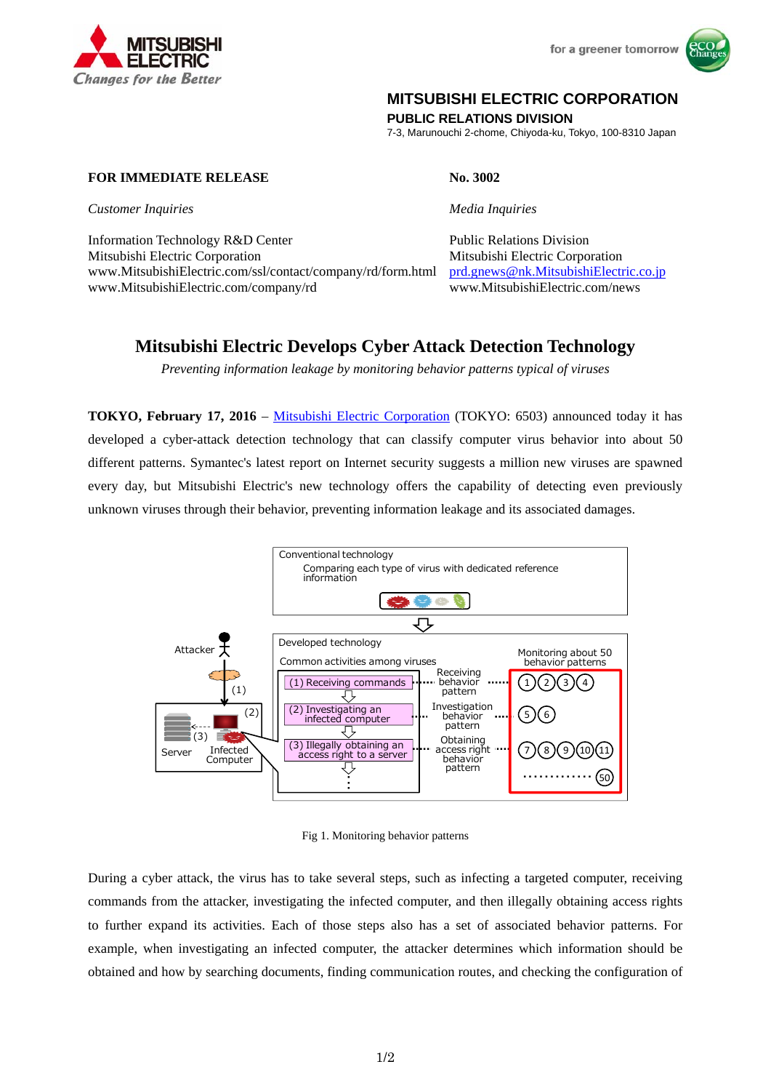

for a greener tomorrow



## **MITSUBISHI ELECTRIC CORPORATION**

**PUBLIC RELATIONS DIVISION** 

7-3, Marunouchi 2-chome, Chiyoda-ku, Tokyo, 100-8310 Japan

**FOR IMMEDIATE RELEASE No. 3002** 

*Customer Inquiries Media Inquiries*

Information Technology R&D Center Public Relations Division Mitsubishi Electric Corporation Mitsubishi Electric Corporation www.MitsubishiElectric.com/ssl/contact/company/rd/form.html prd.gnews@nk.MitsubishiElectric.co.jp www.MitsubishiElectric.com/company/rd www.MitsubishiElectric.com/news

# **Mitsubishi Electric Develops Cyber Attack Detection Technology**

*Preventing information leakage by monitoring behavior patterns typical of viruses* 

**TOKYO, February 17, 2016** – Mitsubishi Electric Corporation (TOKYO: 6503) announced today it has developed a cyber-attack detection technology that can classify computer virus behavior into about 50 different patterns. Symantec's latest report on Internet security suggests a million new viruses are spawned every day, but Mitsubishi Electric's new technology offers the capability of detecting even previously unknown viruses through their behavior, preventing information leakage and its associated damages.



Fig 1. Monitoring behavior patterns

During a cyber attack, the virus has to take several steps, such as infecting a targeted computer, receiving commands from the attacker, investigating the infected computer, and then illegally obtaining access rights to further expand its activities. Each of those steps also has a set of associated behavior patterns. For example, when investigating an infected computer, the attacker determines which information should be obtained and how by searching documents, finding communication routes, and checking the configuration of